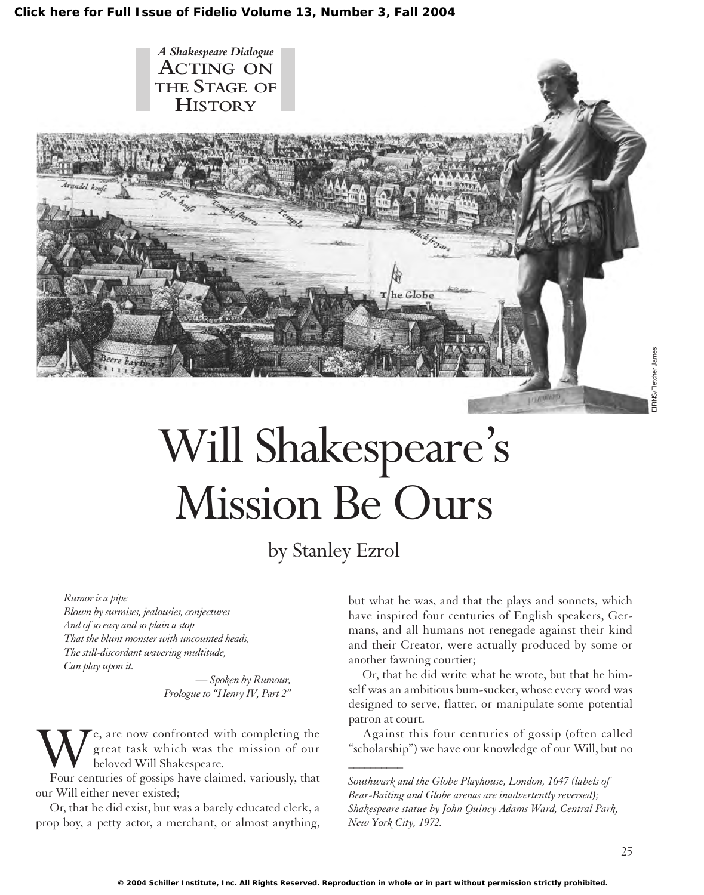

# Will Shakespeare's Mission Be Ours

by Stanley Ezrol

*Rumor is a pipe*

*Blown by surmises, jealousies, conjectures And of so easy and so plain a stop That the blunt monster with uncounted heads, The still-discordant wavering multitude, Can play upon it.*

> *— Spoken by Rumour, Prologue to "Henry IV, Part 2"*

e, are now confronted with completing the great task which was the mission of our beloved Will Shakespeare.

Four centuries of gossips have claimed, variously, that our Will either never existed;

Or, that he did exist, but was a barely educated clerk, a prop boy, a petty actor, a merchant, or almost anything, but what he was, and that the plays and sonnets, which have inspired four centuries of English speakers, Germans, and all humans not renegade against their kind and their Creator, were actually produced by some or another fawning courtier;

Or, that he did write what he wrote, but that he himself was an ambitious bum-sucker, whose every word was designed to serve, flatter, or manipulate some potential patron at court.

Against this four centuries of gossip (often called "scholarship") we have our knowledge of our Will, but no

*Southwark and the Globe Playhouse, London, 1647 (labels of Bear-Baiting and Globe arenas are inadvertently reversed); Shakespeare statue by John Quincy Adams Ward, Central Park, New York City, 1972.*

*\_\_\_\_\_\_\_\_\_\_*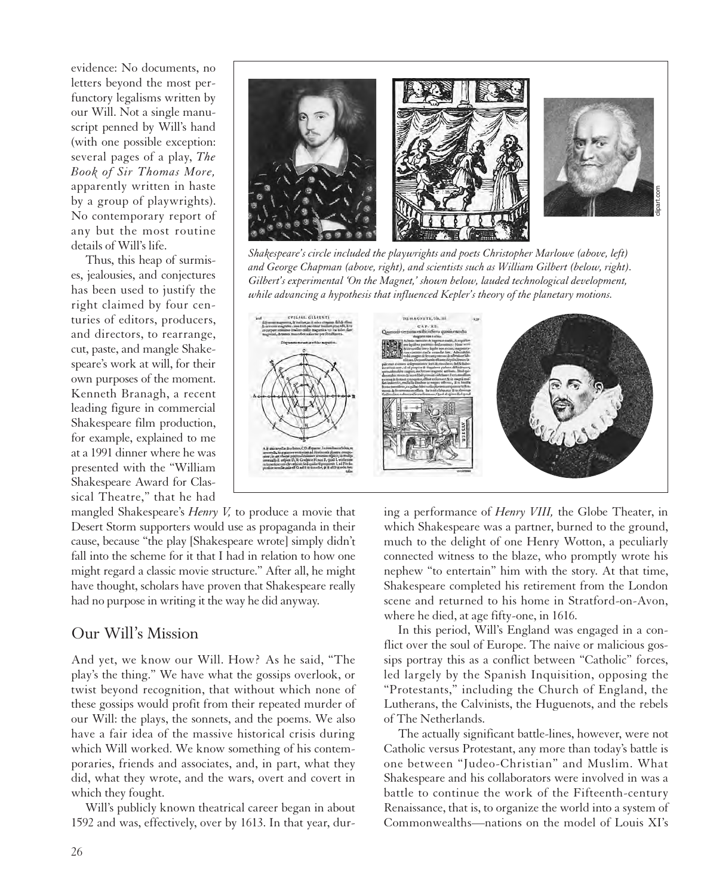evidence: No documents, no letters beyond the most perfunctory legalisms written by our Will. Not a single manuscript penned by Will's hand (with one possible exception: several pages of a play, *The Book of Sir Thomas More,* apparently written in haste by a group of playwrights). No contemporary report of any but the most routine details of Will's life.

Thus, this heap of surmises, jealousies, and conjectures has been used to justify the right claimed by four centuries of editors, producers, and directors, to rearrange, cut, paste, and mangle Shakespeare's work at will, for their own purposes of the moment. Kenneth Branagh, a recent leading figure in commercial Shakespeare film production, for example, explained to me at a 1991 dinner where he was presented with the "William Shakespeare Award for Classical Theatre," that he had

mangled Shakespeare's *Henry V,* to produce a movie that Desert Storm supporters would use as propaganda in their cause, because "the play [Shakespeare wrote] simply didn't fall into the scheme for it that I had in relation to how one might regard a classic movie structure." After all, he might have thought, scholars have proven that Shakespeare really had no purpose in writing it the way he did anyway.

#### Our Will's Mission

And yet, we know our Will. How? As he said, "The play's the thing." We have what the gossips overlook, or twist beyond recognition, that without which none of these gossips would profit from their repeated murder of our Will: the plays, the sonnets, and the poems. We also have a fair idea of the massive historical crisis during which Will worked. We know something of his contemporaries, friends and associates, and, in part, what they did, what they wrote, and the wars, overt and covert in which they fought.

Will's publicly known theatrical career began in about 1592 and was, effectively, over by 1613. In that year, dur-



*Shakespeare's circle included the playwrights and poets Christopher Marlowe (above, left) and George Chapman (above, right), and scientists such as William Gilbert (below, right). Gilbert's experimental 'On the Magnet,' shown below, lauded technological development, while advancing a hypothesis that influenced Kepler's theory of the planetary motions.*



ing a performance of *Henry VIII,* the Globe Theater, in which Shakespeare was a partner, burned to the ground, much to the delight of one Henry Wotton, a peculiarly connected witness to the blaze, who promptly wrote his nephew "to entertain" him with the story. At that time, Shakespeare completed his retirement from the London scene and returned to his home in Stratford-on-Avon, where he died, at age fifty-one, in 1616.

In this period, Will's England was engaged in a conflict over the soul of Europe. The naive or malicious gossips portray this as a conflict between "Catholic" forces, led largely by the Spanish Inquisition, opposing the "Protestants," including the Church of England, the Lutherans, the Calvinists, the Huguenots, and the rebels of The Netherlands.

The actually significant battle-lines, however, were not Catholic versus Protestant, any more than today's battle is one between "Judeo-Christian" and Muslim. What Shakespeare and his collaborators were involved in was a battle to continue the work of the Fifteenth-century Renaissance, that is, to organize the world into a system of Commonwealths—nations on the model of Louis XI's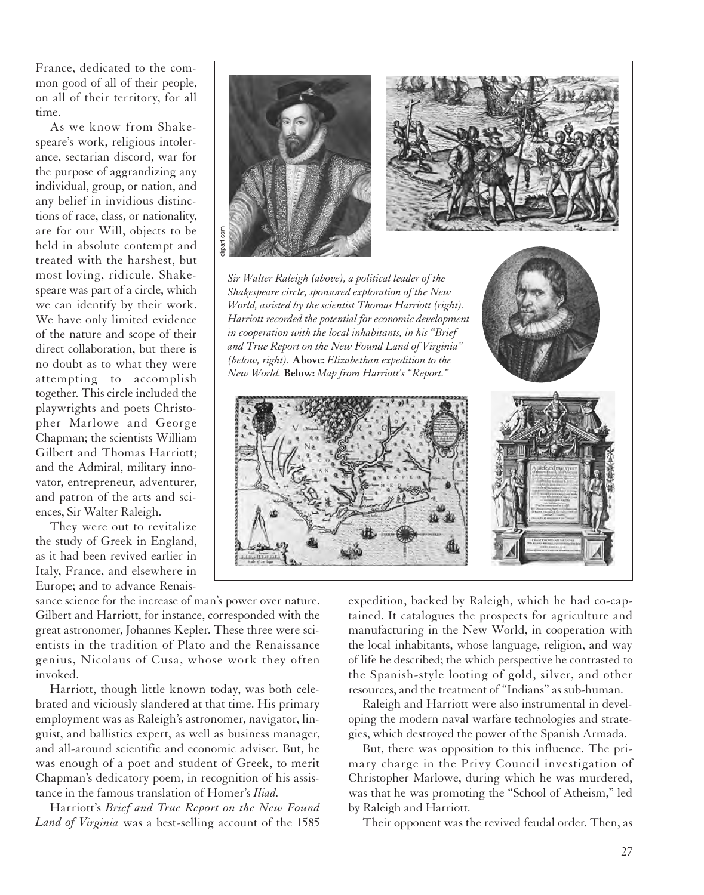France, dedicated to the common good of all of their people, on all of their territory, for all time.

As we know from Shakespeare's work, religious intolerance, sectarian discord, war for the purpose of aggrandizing any individual, group, or nation, and any belief in invidious distinctions of race, class, or nationality, are for our Will, objects to be held in absolute contempt and treated with the harshest, but most loving, ridicule. Shakespeare was part of a circle, which we can identify by their work. We have only limited evidence of the nature and scope of their direct collaboration, but there is no doubt as to what they were attempting to accomplish together. This circle included the playwrights and poets Christopher Marlowe and George Chapman; the scientists William Gilbert and Thomas Harriott; and the Admiral, military innovator, entrepreneur, adventurer, and patron of the arts and sciences, Sir Walter Raleigh.

They were out to revitalize the study of Greek in England, as it had been revived earlier in Italy, France, and elsewhere in Europe; and to advance Renais-



sance science for the increase of man's power over nature. Gilbert and Harriott, for instance, corresponded with the great astronomer, Johannes Kepler. These three were scientists in the tradition of Plato and the Renaissance genius, Nicolaus of Cusa, whose work they often invoked.

Harriott, though little known today, was both celebrated and viciously slandered at that time. His primary employment was as Raleigh's astronomer, navigator, linguist, and ballistics expert, as well as business manager, and all-around scientific and economic adviser. But, he was enough of a poet and student of Greek, to merit Chapman's dedicatory poem, in recognition of his assistance in the famous translation of Homer's *Iliad.*

Harriott's *Brief and True Report on the New Found Land of Virginia* was a best-selling account of the 1585 expedition, backed by Raleigh, which he had co-captained. It catalogues the prospects for agriculture and manufacturing in the New World, in cooperation with the local inhabitants, whose language, religion, and way of life he described; the which perspective he contrasted to the Spanish-style looting of gold, silver, and other resources, and the treatment of "Indians" as sub-human.

Raleigh and Harriott were also instrumental in developing the modern naval warfare technologies and strategies, which destroyed the power of the Spanish Armada.

But, there was opposition to this influence. The primary charge in the Privy Council investigation of Christopher Marlowe, during which he was murdered, was that he was promoting the "School of Atheism," led by Raleigh and Harriott.

Their opponent was the revived feudal order. Then, as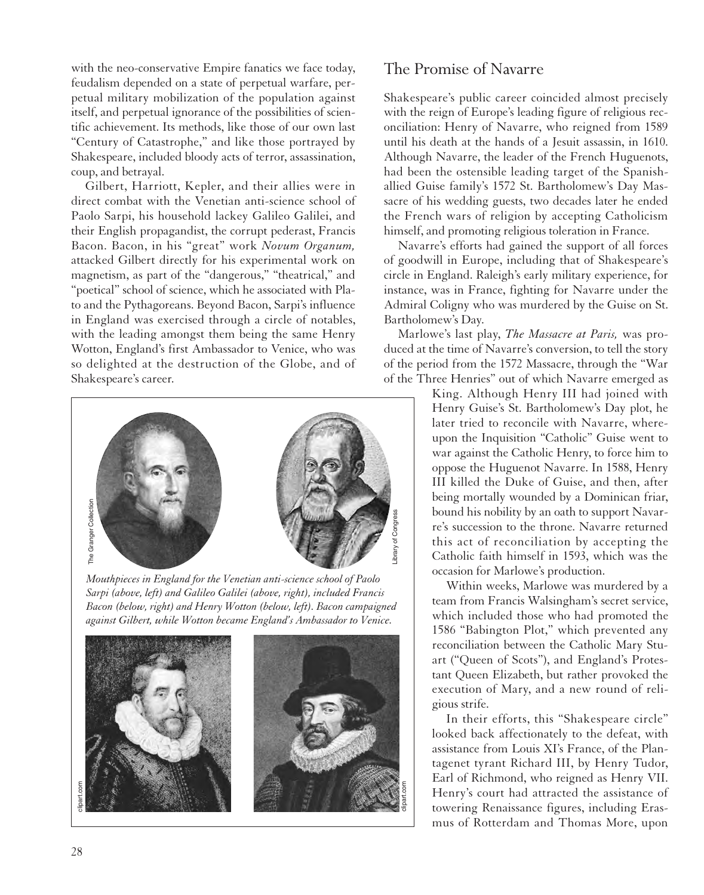with the neo-conservative Empire fanatics we face today, feudalism depended on a state of perpetual warfare, perpetual military mobilization of the population against itself, and perpetual ignorance of the possibilities of scientific achievement. Its methods, like those of our own last "Century of Catastrophe," and like those portrayed by Shakespeare, included bloody acts of terror, assassination, coup, and betrayal.

Gilbert, Harriott, Kepler, and their allies were in direct combat with the Venetian anti-science school of Paolo Sarpi, his household lackey Galileo Galilei, and their English propagandist, the corrupt pederast, Francis Bacon. Bacon, in his "great" work *Novum Organum,* attacked Gilbert directly for his experimental work on magnetism, as part of the "dangerous," "theatrical," and "poetical" school of science, which he associated with Plato and the Pythagoreans. Beyond Bacon, Sarpi's influence in England was exercised through a circle of notables, with the leading amongst them being the same Henry Wotton, England's first Ambassador to Venice, who was so delighted at the destruction of the Globe, and of Shakespeare's career.



*Mouthpieces in England for the Venetian anti-science school of Paolo Sarpi (above, left) and Galileo Galilei (above, right), included Francis Bacon (below, right) and Henry Wotton (below, left). Bacon campaigned*



#### The Promise of Navarre

Shakespeare's public career coincided almost precisely with the reign of Europe's leading figure of religious reconciliation: Henry of Navarre, who reigned from 1589 until his death at the hands of a Jesuit assassin, in 1610. Although Navarre, the leader of the French Huguenots, had been the ostensible leading target of the Spanishallied Guise family's 1572 St. Bartholomew's Day Massacre of his wedding guests, two decades later he ended the French wars of religion by accepting Catholicism himself, and promoting religious toleration in France.

Navarre's efforts had gained the support of all forces of goodwill in Europe, including that of Shakespeare's circle in England. Raleigh's early military experience, for instance, was in France, fighting for Navarre under the Admiral Coligny who was murdered by the Guise on St. Bartholomew's Day.

Marlowe's last play, *The Massacre at Paris,* was produced at the time of Navarre's conversion, to tell the story of the period from the 1572 Massacre, through the "War of the Three Henries" out of which Navarre emerged as

King. Although Henry III had joined with Henry Guise's St. Bartholomew's Day plot, he later tried to reconcile with Navarre, whereupon the Inquisition "Catholic" Guise went to war against the Catholic Henry, to force him to oppose the Huguenot Navarre. In 1588, Henry III killed the Duke of Guise, and then, after being mortally wounded by a Dominican friar, bound his nobility by an oath to support Navarre's succession to the throne. Navarre returned this act of reconciliation by accepting the Catholic faith himself in 1593, which was the occasion for Marlowe's production.

Within weeks, Marlowe was murdered by a team from Francis Walsingham's secret service, which included those who had promoted the 1586 "Babington Plot," which prevented any reconciliation between the Catholic Mary Stuart ("Queen of Scots"), and England's Protestant Queen Elizabeth, but rather provoked the execution of Mary, and a new round of religious strife.

In their efforts, this "Shakespeare circle" looked back affectionately to the defeat, with assistance from Louis XI's France, of the Plantagenet tyrant Richard III, by Henry Tudor, Earl of Richmond, who reigned as Henry VII. Henry's court had attracted the assistance of towering Renaissance figures, including Erasmus of Rotterdam and Thomas More, upon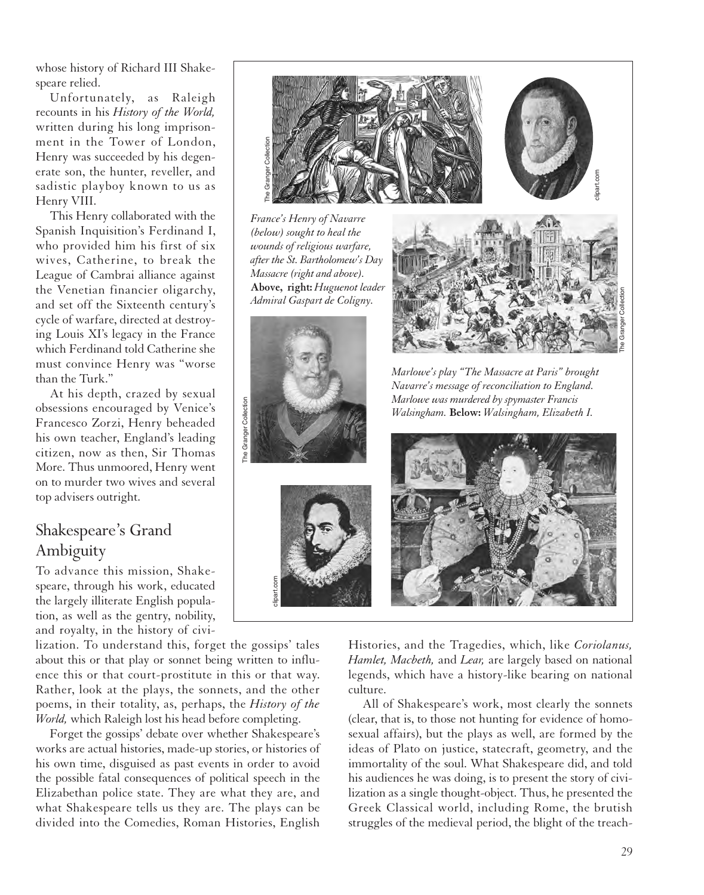whose history of Richard III Shakespeare relied.

Unfortunately, as Raleigh recounts in his *History of the World,* written during his long imprisonment in the Tower of London, Henry was succeeded by his degenerate son, the hunter, reveller, and sadistic playboy known to us as Henry VIII.

This Henry collaborated with the Spanish Inquisition's Ferdinand I, who provided him his first of six wives, Catherine, to break the League of Cambrai alliance against the Venetian financier oligarchy, and set off the Sixteenth century's cycle of warfare, directed at destroying Louis XI's legacy in the France which Ferdinand told Catherine she must convince Henry was "worse than the Turk."

At his depth, crazed by sexual obsessions encouraged by Venice's Francesco Zorzi, Henry beheaded his own teacher, England's leading citizen, now as then, Sir Thomas More. Thus unmoored, Henry went on to murder two wives and several top advisers outright.

# Shakespeare's Grand Ambiguity

To advance this mission, Shakespeare, through his work, educated the largely illiterate English population, as well as the gentry, nobility, and royalty, in the history of civi-

lization. To understand this, forget the gossips' tales about this or that play or sonnet being written to influence this or that court-prostitute in this or that way. Rather, look at the plays, the sonnets, and the other poems, in their totality, as, perhaps, the *History of the World,* which Raleigh lost his head before completing.

clipart.com

The Granger Collection

The Granger Collection

Forget the gossips' debate over whether Shakespeare's works are actual histories, made-up stories, or histories of his own time, disguised as past events in order to avoid the possible fatal consequences of political speech in the Elizabethan police state. They are what they are, and what Shakespeare tells us they are. The plays can be divided into the Comedies, Roman Histories, English



*Navarre's message of reconciliation to England. Marlowe was murdered by spymaster Francis Walsingham.* **Below:** *Walsingham, Elizabeth I.*



Histories, and the Tragedies, which, like *Coriolanus, Hamlet, Macbeth,* and *Lear,* are largely based on national legends, which have a history-like bearing on national culture.

All of Shakespeare's work, most clearly the sonnets (clear, that is, to those not hunting for evidence of homosexual affairs), but the plays as well, are formed by the ideas of Plato on justice, statecraft, geometry, and the immortality of the soul. What Shakespeare did, and told his audiences he was doing, is to present the story of civilization as a single thought-object. Thus, he presented the Greek Classical world, including Rome, the brutish struggles of the medieval period, the blight of the treach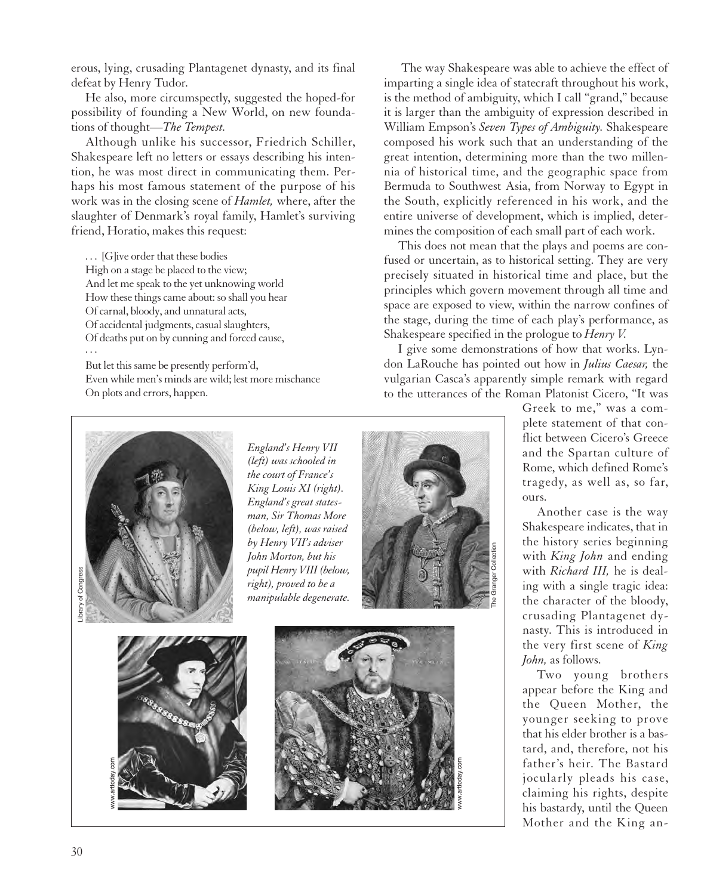erous, lying, crusading Plantagenet dynasty, and its final defeat by Henry Tudor.

He also, more circumspectly, suggested the hoped-for possibility of founding a New World, on new foundations of thought—*The Tempest.*

Although unlike his successor, Friedrich Schiller, Shakespeare left no letters or essays describing his intention, he was most direct in communicating them. Perhaps his most famous statement of the purpose of his work was in the closing scene of *Hamlet,* where, after the slaughter of Denmark's royal family, Hamlet's surviving friend, Horatio, makes this request:

. . . [G]ive order that these bodies High on a stage be placed to the view; And let me speak to the yet unknowing world How these things came about: so shall you hear Of carnal, bloody, and unnatural acts, Of accidental judgments, casual slaughters, Of deaths put on by cunning and forced cause, ...

But let this same be presently perform'd, Even while men's minds are wild; lest more mischance On plots and errors, happen.

The way Shakespeare was able to achieve the effect of imparting a single idea of statecraft throughout his work, is the method of ambiguity, which I call "grand," because it is larger than the ambiguity of expression described in William Empson's *Seven Types of Ambiguity.* Shakespeare composed his work such that an understanding of the great intention, determining more than the two millennia of historical time, and the geographic space from Bermuda to Southwest Asia, from Norway to Egypt in the South, explicitly referenced in his work, and the entire universe of development, which is implied, determines the composition of each small part of each work.

This does not mean that the plays and poems are confused or uncertain, as to historical setting. They are very precisely situated in historical time and place, but the principles which govern movement through all time and space are exposed to view, within the narrow confines of the stage, during the time of each play's performance, as Shakespeare specified in the prologue to *Henry V.*

I give some demonstrations of how that works. Lyndon LaRouche has pointed out how in *Julius Caesar,* the vulgarian Casca's apparently simple remark with regard to the utterances of the Roman Platonist Cicero, "It was



*England's Henry VII (left) was schooled in the court of France's King Louis XI (right). England's great statesman, Sir Thomas More (below, left), was raised by Henry VII's adviser John Morton, but his pupil Henry VIII (below, right), proved to be a manipulable degenerate.*







Greek to me," was a complete statement of that conflict between Cicero's Greece and the Spartan culture of Rome, which defined Rome's tragedy, as well as, so far, ours.

Another case is the way Shakespeare indicates, that in the history series beginning with *King John* and ending with *Richard III,* he is dealing with a single tragic idea: the character of the bloody, crusading Plantagenet dynasty. This is introduced in the very first scene of *King John,* as follows.

Two young brothers appear before the King and the Queen Mother, the younger seeking to prove that his elder brother is a bastard, and, therefore, not his father's heir. The Bastard jocularly pleads his case, claiming his rights, despite his bastardy, until the Queen Mother and the King an-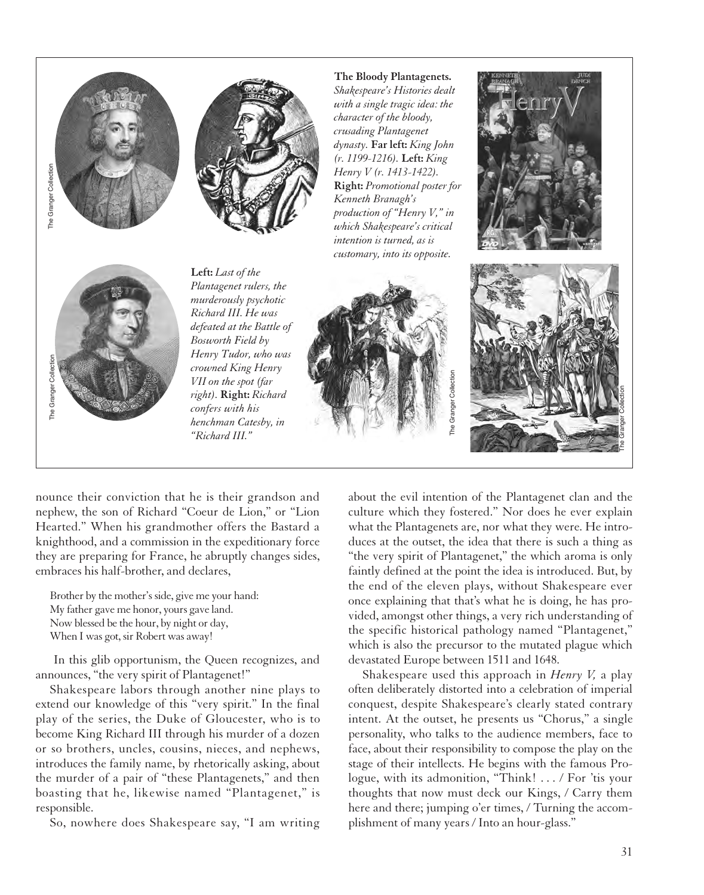



**The Bloody Plantagenets.** *Shakespeare's Histories dealt with a single tragic idea: the character of the bloody, crusading Plantagenet dynasty.* **Far left:** *King John (r. 1199-1216).* **Left:** *King Henry V (r. 1413-1422).* **Right:** *Promotional poster for Kenneth Branagh's production of "Henry V," in which Shakespeare's critical intention is turned, as is*





**Left:** *Last of the Plantagenet rulers, the murderously psychotic Richard III. He was defeated at the Battle of Bosworth Field by Henry Tudor, who was crowned King Henry VII on the spot (far right).* **Right:** *Richard confers with his henchman Catesby, in "Richard III."*



nounce their conviction that he is their grandson and nephew, the son of Richard "Coeur de Lion," or "Lion Hearted." When his grandmother offers the Bastard a knighthood, and a commission in the expeditionary force they are preparing for France, he abruptly changes sides, embraces his half-brother, and declares,

Brother by the mother's side, give me your hand: My father gave me honor, yours gave land. Now blessed be the hour, by night or day, When I was got, sir Robert was away!

In this glib opportunism, the Queen recognizes, and announces, "the very spirit of Plantagenet!"

Shakespeare labors through another nine plays to extend our knowledge of this "very spirit." In the final play of the series, the Duke of Gloucester, who is to become King Richard III through his murder of a dozen or so brothers, uncles, cousins, nieces, and nephews, introduces the family name, by rhetorically asking, about the murder of a pair of "these Plantagenets," and then boasting that he, likewise named "Plantagenet," is responsible.

So, nowhere does Shakespeare say, "I am writing

about the evil intention of the Plantagenet clan and the culture which they fostered." Nor does he ever explain what the Plantagenets are, nor what they were. He introduces at the outset, the idea that there is such a thing as "the very spirit of Plantagenet," the which aroma is only faintly defined at the point the idea is introduced. But, by the end of the eleven plays, without Shakespeare ever once explaining that that's what he is doing, he has provided, amongst other things, a very rich understanding of the specific historical pathology named "Plantagenet," which is also the precursor to the mutated plague which devastated Europe between 1511 and 1648.

Shakespeare used this approach in *Henry V,* a play often deliberately distorted into a celebration of imperial conquest, despite Shakespeare's clearly stated contrary intent. At the outset, he presents us "Chorus," a single personality, who talks to the audience members, face to face, about their responsibility to compose the play on the stage of their intellects. He begins with the famous Prologue, with its admonition, "Think! . . . / For 'tis your thoughts that now must deck our Kings, / Carry them here and there; jumping o'er times, / Turning the accomplishment of many years / Into an hour-glass."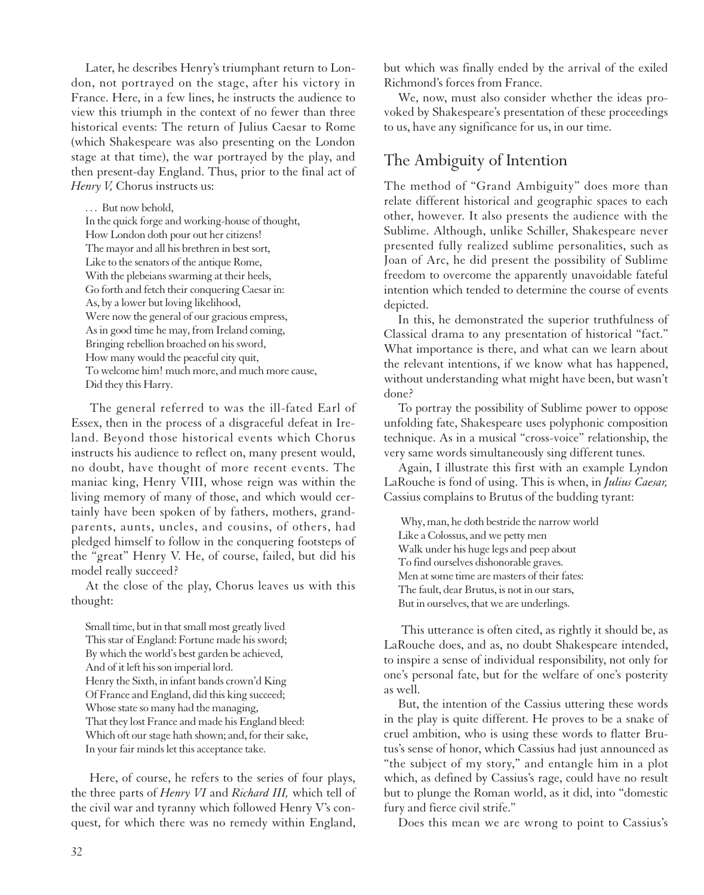Later, he describes Henry's triumphant return to London, not portrayed on the stage, after his victory in France. Here, in a few lines, he instructs the audience to view this triumph in the context of no fewer than three historical events: The return of Julius Caesar to Rome (which Shakespeare was also presenting on the London stage at that time), the war portrayed by the play, and then present-day England. Thus, prior to the final act of *Henry V,* Chorus instructs us:

... But now behold,

In the quick forge and working-house of thought, How London doth pour out her citizens! The mayor and all his brethren in best sort, Like to the senators of the antique Rome, With the plebeians swarming at their heels, Go forth and fetch their conquering Caesar in: As, by a lower but loving likelihood, Were now the general of our gracious empress, As in good time he may, from Ireland coming, Bringing rebellion broached on his sword, How many would the peaceful city quit, To welcome him! much more, and much more cause, Did they this Harry.

The general referred to was the ill-fated Earl of Essex, then in the process of a disgraceful defeat in Ireland. Beyond those historical events which Chorus instructs his audience to reflect on, many present would, no doubt, have thought of more recent events. The maniac king, Henry VIII, whose reign was within the living memory of many of those, and which would certainly have been spoken of by fathers, mothers, grandparents, aunts, uncles, and cousins, of others, had pledged himself to follow in the conquering footsteps of the "great" Henry V. He, of course, failed, but did his model really succeed?

At the close of the play, Chorus leaves us with this thought:

Small time, but in that small most greatly lived This star of England: Fortune made his sword; By which the world's best garden be achieved, And of it left his son imperial lord. Henry the Sixth, in infant bands crown'd King Of France and England, did this king succeed; Whose state so many had the managing, That they lost France and made his England bleed: Which oft our stage hath shown; and, for their sake, In your fair minds let this acceptance take.

Here, of course, he refers to the series of four plays, the three parts of *Henry VI* and *Richard III,* which tell of the civil war and tyranny which followed Henry V's conquest, for which there was no remedy within England, but which was finally ended by the arrival of the exiled Richmond's forces from France.

We, now, must also consider whether the ideas provoked by Shakespeare's presentation of these proceedings to us, have any significance for us, in our time.

### The Ambiguity of Intention

The method of "Grand Ambiguity" does more than relate different historical and geographic spaces to each other, however. It also presents the audience with the Sublime. Although, unlike Schiller, Shakespeare never presented fully realized sublime personalities, such as Joan of Arc, he did present the possibility of Sublime freedom to overcome the apparently unavoidable fateful intention which tended to determine the course of events depicted.

In this, he demonstrated the superior truthfulness of Classical drama to any presentation of historical "fact." What importance is there, and what can we learn about the relevant intentions, if we know what has happened, without understanding what might have been, but wasn't done?

To portray the possibility of Sublime power to oppose unfolding fate, Shakespeare uses polyphonic composition technique. As in a musical "cross-voice" relationship, the very same words simultaneously sing different tunes.

Again, I illustrate this first with an example Lyndon LaRouche is fond of using. This is when, in *Julius Caesar,* Cassius complains to Brutus of the budding tyrant:

Why, man, he doth bestride the narrow world Like a Colossus, and we petty men Walk under his huge legs and peep about To find ourselves dishonorable graves. Men at some time are masters of their fates: The fault, dear Brutus, is not in our stars, But in ourselves, that we are underlings.

This utterance is often cited, as rightly it should be, as LaRouche does, and as, no doubt Shakespeare intended, to inspire a sense of individual responsibility, not only for one's personal fate, but for the welfare of one's posterity as well.

But, the intention of the Cassius uttering these words in the play is quite different. He proves to be a snake of cruel ambition, who is using these words to flatter Brutus's sense of honor, which Cassius had just announced as "the subject of my story," and entangle him in a plot which, as defined by Cassius's rage, could have no result but to plunge the Roman world, as it did, into "domestic fury and fierce civil strife."

Does this mean we are wrong to point to Cassius's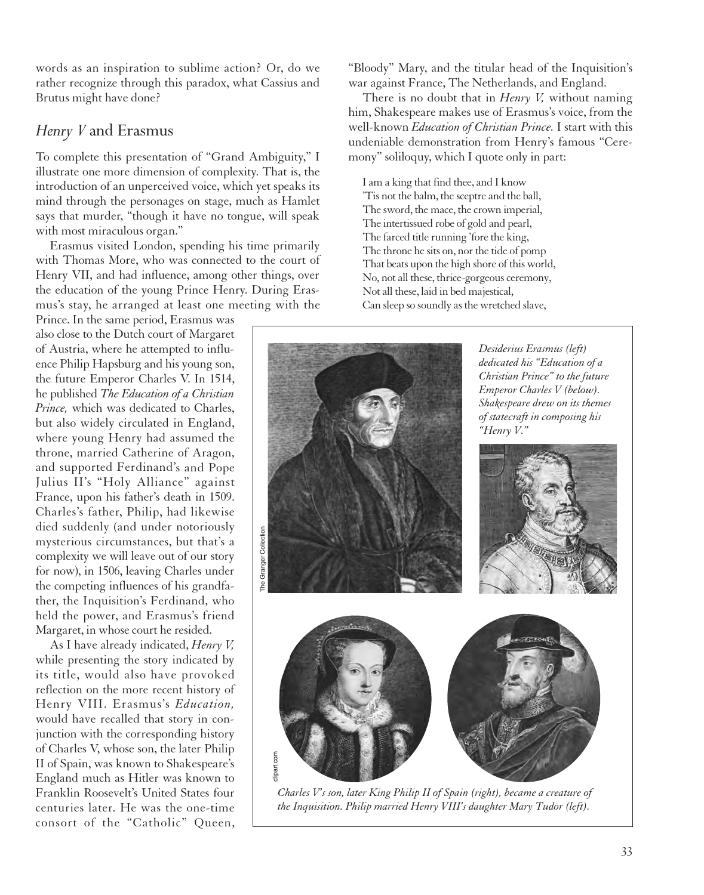words as an inspiration to sublime action? Or, do we rather recognize through this paradox, what Cassius and Brutus might have done?

#### *Henry V* and Erasmus

To complete this presentation of "Grand Ambiguity," I illustrate one more dimension of complexity. That is, the introduction of an unperceived voice, which yet speaks its mind through the personages on stage, much as Hamlet says that murder, "though it have no tongue, will speak with most miraculous organ."

Erasmus visited London, spending his time primarily with Thomas More, who was connected to the court of Henry VII, and had influence, among other things, over the education of the young Prince Henry. During Erasmus's stay, he arranged at least one meeting with the

Prince. In the same period, Erasmus was also close to the Dutch court of Margaret of Austria, where he attempted to influence Philip Hapsburg and his young son, the future Emperor Charles V. In 1514, he published *The Education of a Christian Prince,* which was dedicated to Charles, but also widely circulated in England, where young Henry had assumed the throne, married Catherine of Aragon, and supported Ferdinand's and Pope Julius II's "Holy Alliance" against France, upon his father's death in 1509. Charles's father, Philip, had likewise died suddenly (and under notoriously mysterious circumstances, but that's a complexity we will leave out of our story for now), in 1506, leaving Charles under the competing influences of his grandfather, the Inquisition's Ferdinand, who held the power, and Erasmus's friend Margaret, in whose court he resided.

As I have already indicated, *Henry V,* while presenting the story indicated by its title, would also have provoked reflection on the more recent history of Henry VIII. Erasmus's *Education,* would have recalled that story in conjunction with the corresponding history of Charles V, whose son, the later Philip II of Spain, was known to Shakespeare's England much as Hitler was known to Franklin Roosevelt's United States four centuries later. He was the one-time consort of the "Catholic" Queen, "Bloody" Mary, and the titular head of the Inquisition's war against France, The Netherlands, and England.

There is no doubt that in *Henry V,* without naming him, Shakespeare makes use of Erasmus's voice, from the well-known *Education of Christian Prince.* I start with this undeniable demonstration from Henry's famous "Ceremony" soliloquy, which I quote only in part:

I am a king that find thee, and I know 'Tis not the balm, the sceptre and the ball, The sword, the mace, the crown imperial, The intertissued robe of gold and pearl, The farced title running 'fore the king, The throne he sits on, nor the tide of pomp That beats upon the high shore of this world, No, not all these, thrice-gorgeous ceremony, Not all these, laid in bed majestical, Can sleep so soundly as the wretched slave,



*Charles V's son, later King Philip II of Spain (right), became a creature of the Inquisition. Philip married Henry VIII's daughter Mary Tudor (left).*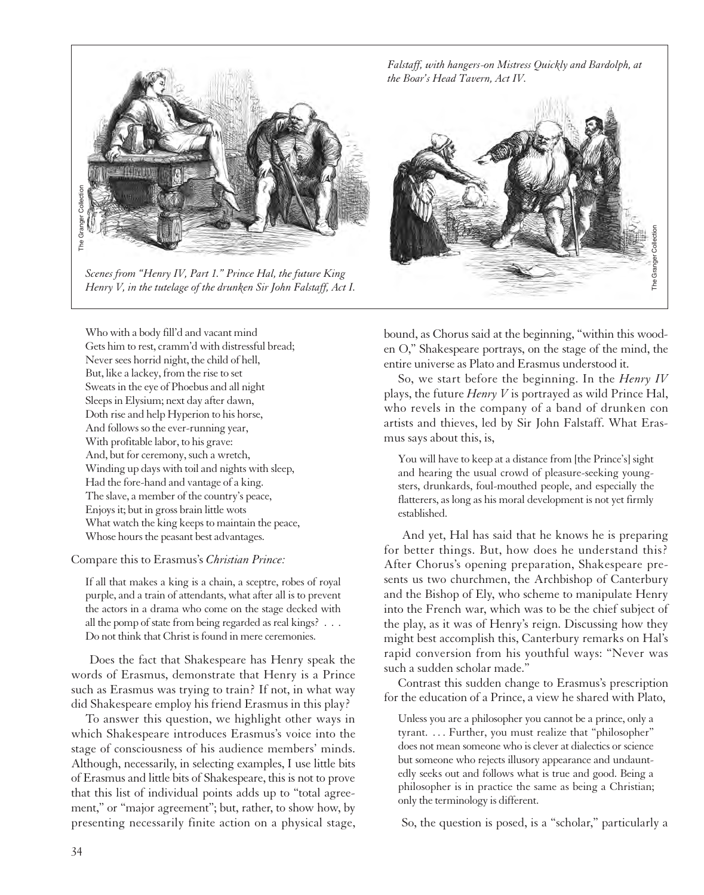

*Scenes from "Henry IV, Part 1." Prince Hal, the future King Henry V, in the tutelage of the drunken Sir John Falstaff, Act I.*

*Falstaff, with hangers-on Mistress Quickly and Bardolph, at the Boar's Head Tavern, Act IV.*



Who with a body fill'd and vacant mind Gets him to rest, cramm'd with distressful bread; Never sees horrid night, the child of hell, But, like a lackey, from the rise to set Sweats in the eye of Phoebus and all night Sleeps in Elysium; next day after dawn, Doth rise and help Hyperion to his horse, And follows so the ever-running year, With profitable labor, to his grave: And, but for ceremony, such a wretch, Winding up days with toil and nights with sleep, Had the fore-hand and vantage of a king. The slave, a member of the country's peace, Enjoys it; but in gross brain little wots What watch the king keeps to maintain the peace, Whose hours the peasant best advantages.

Compare this to Erasmus's *Christian Prince:*

If all that makes a king is a chain, a sceptre, robes of royal purple, and a train of attendants, what after all is to prevent the actors in a drama who come on the stage decked with all the pomp of state from being regarded as real kings? . . . Do not think that Christ is found in mere ceremonies.

Does the fact that Shakespeare has Henry speak the words of Erasmus, demonstrate that Henry is a Prince such as Erasmus was trying to train? If not, in what way did Shakespeare employ his friend Erasmus in this play?

To answer this question, we highlight other ways in which Shakespeare introduces Erasmus's voice into the stage of consciousness of his audience members' minds. Although, necessarily, in selecting examples, I use little bits of Erasmus and little bits of Shakespeare, this is not to prove that this list of individual points adds up to "total agreement," or "major agreement"; but, rather, to show how, by presenting necessarily finite action on a physical stage, bound, as Chorus said at the beginning, "within this wooden O," Shakespeare portrays, on the stage of the mind, the entire universe as Plato and Erasmus understood it.

So, we start before the beginning. In the *Henry IV* plays, the future *Henry V* is portrayed as wild Prince Hal, who revels in the company of a band of drunken con artists and thieves, led by Sir John Falstaff. What Erasmus says about this, is,

You will have to keep at a distance from [the Prince's] sight and hearing the usual crowd of pleasure-seeking youngsters, drunkards, foul-mouthed people, and especially the flatterers, as long as his moral development is not yet firmly established.

And yet, Hal has said that he knows he is preparing for better things. But, how does he understand this? After Chorus's opening preparation, Shakespeare presents us two churchmen, the Archbishop of Canterbury and the Bishop of Ely, who scheme to manipulate Henry into the French war, which was to be the chief subject of the play, as it was of Henry's reign. Discussing how they might best accomplish this, Canterbury remarks on Hal's rapid conversion from his youthful ways: "Never was such a sudden scholar made."

Contrast this sudden change to Erasmus's prescription for the education of a Prince, a view he shared with Plato,

Unless you are a philosopher you cannot be a prince, only a tyrant. . . . Further, you must realize that "philosopher" does not mean someone who is clever at dialectics or science but someone who rejects illusory appearance and undauntedly seeks out and follows what is true and good. Being a philosopher is in practice the same as being a Christian; only the terminology is different.

So, the question is posed, is a "scholar," particularly a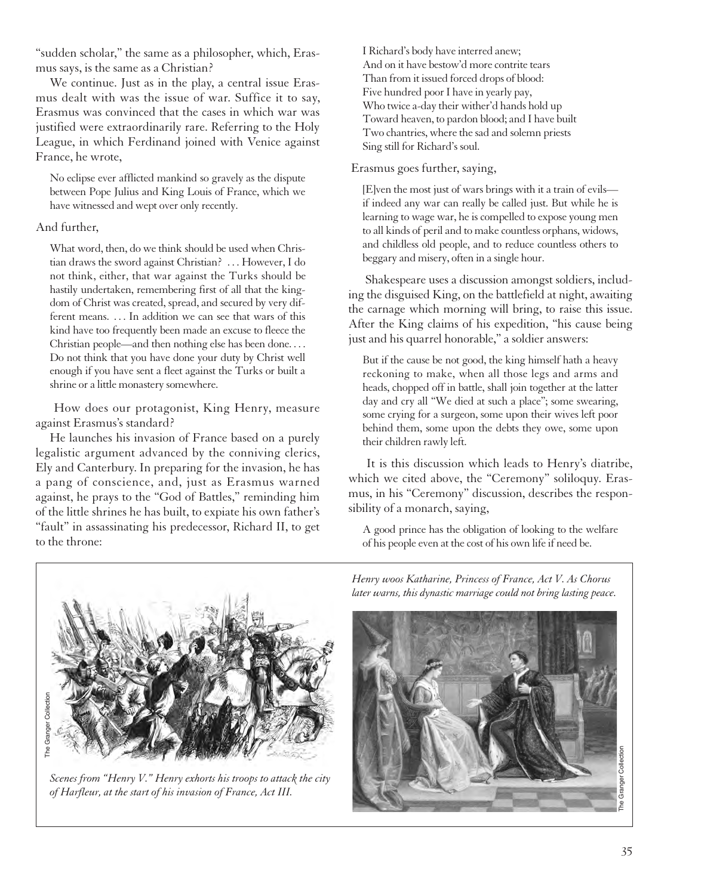"sudden scholar," the same as a philosopher, which, Erasmus says, is the same as a Christian?

We continue. Just as in the play, a central issue Erasmus dealt with was the issue of war. Suffice it to say, Erasmus was convinced that the cases in which war was justified were extraordinarily rare. Referring to the Holy League, in which Ferdinand joined with Venice against France, he wrote,

No eclipse ever afflicted mankind so gravely as the dispute between Pope Julius and King Louis of France, which we have witnessed and wept over only recently.

#### And further,

What word, then, do we think should be used when Christian draws the sword against Christian? . . . However, I do not think, either, that war against the Turks should be hastily undertaken, remembering first of all that the kingdom of Christ was created, spread, and secured by very different means. . . . In addition we can see that wars of this kind have too frequently been made an excuse to fleece the Christian people—and then nothing else has been done. . . . Do not think that you have done your duty by Christ well enough if you have sent a fleet against the Turks or built a shrine or a little monastery somewhere.

How does our protagonist, King Henry, measure against Erasmus's standard?

He launches his invasion of France based on a purely legalistic argument advanced by the conniving clerics, Ely and Canterbury. In preparing for the invasion, he has a pang of conscience, and, just as Erasmus warned against, he prays to the "God of Battles," reminding him of the little shrines he has built, to expiate his own father's "fault" in assassinating his predecessor, Richard II, to get to the throne:

I Richard's body have interred anew; And on it have bestow'd more contrite tears Than from it issued forced drops of blood: Five hundred poor I have in yearly pay, Who twice a-day their wither'd hands hold up Toward heaven, to pardon blood; and I have built Two chantries, where the sad and solemn priests Sing still for Richard's soul.

Erasmus goes further, saying,

[E]ven the most just of wars brings with it a train of evils if indeed any war can really be called just. But while he is learning to wage war, he is compelled to expose young men to all kinds of peril and to make countless orphans, widows, and childless old people, and to reduce countless others to beggary and misery, often in a single hour.

Shakespeare uses a discussion amongst soldiers, including the disguised King, on the battlefield at night, awaiting the carnage which morning will bring, to raise this issue. After the King claims of his expedition, "his cause being just and his quarrel honorable," a soldier answers:

But if the cause be not good, the king himself hath a heavy reckoning to make, when all those legs and arms and heads, chopped off in battle, shall join together at the latter day and cry all "We died at such a place"; some swearing, some crying for a surgeon, some upon their wives left poor behind them, some upon the debts they owe, some upon their children rawly left.

It is this discussion which leads to Henry's diatribe, which we cited above, the "Ceremony" soliloquy. Erasmus, in his "Ceremony" discussion, describes the responsibility of a monarch, saying,

A good prince has the obligation of looking to the welfare of his people even at the cost of his own life if need be.



*Scenes from "Henry V." Henry exhorts his troops to attack the city of Harfleur, at the start of his invasion of France, Act III.*

*Henry woos Katharine, Princess of France, Act V. As Chorus later warns, this dynastic marriage could not bring lasting peace.*